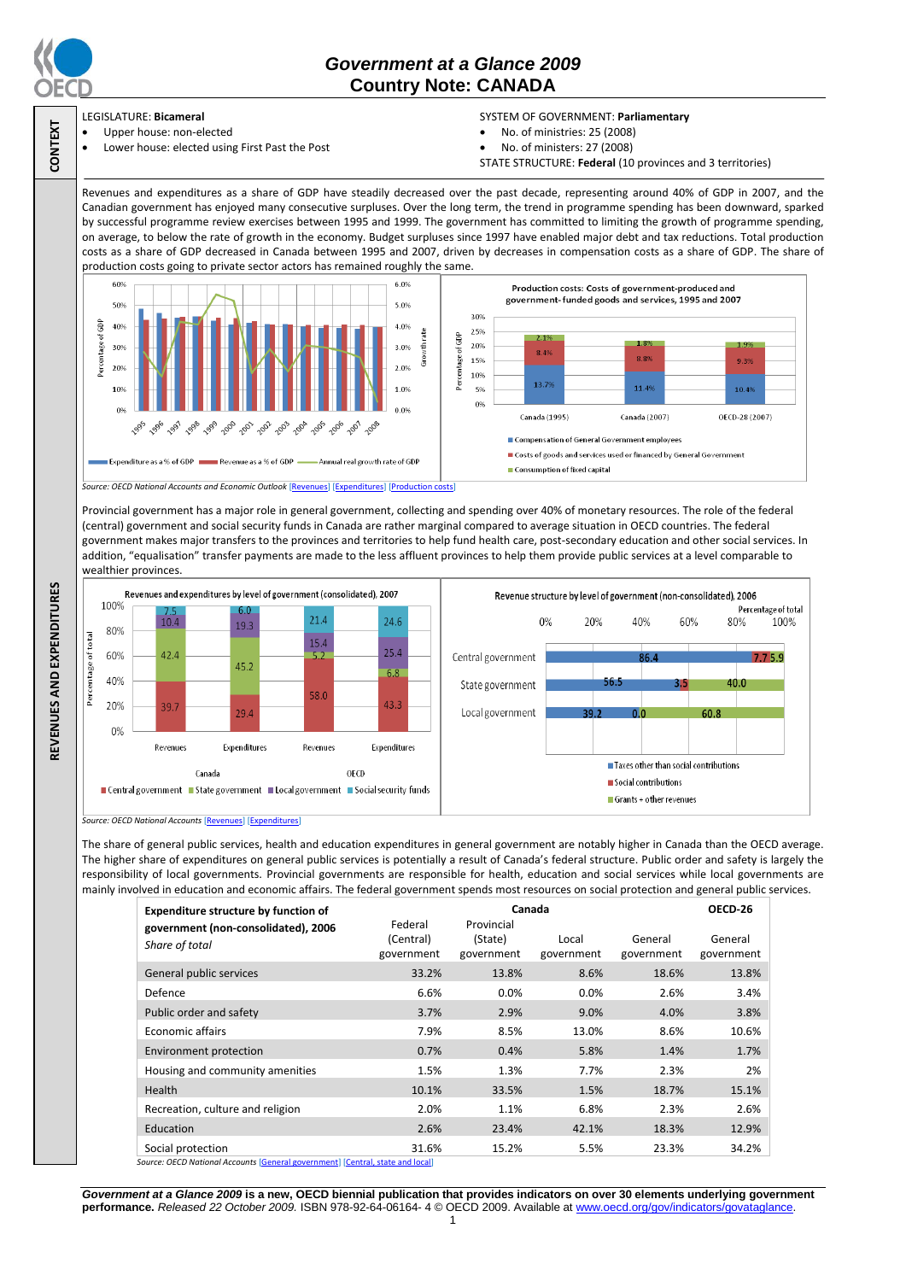

**CONTEXT**

# *Government at a Glance 2009*  **Country Note: CANADA**

### LEGISLATURE: **Bicameral**

- Upper house: non-elected
	- Lower house: elected using First Past the Post

### SYSTEM OF GOVERNMENT: **Parliamentary**

- No. of ministries: 25 (2008)
- No. of ministers: 27 (2008)
- STATE STRUCTURE: **Federal** (10 provinces and 3 territories)

Revenues and expenditures as a share of GDP have steadily decreased over the past decade, representing around 40% of GDP in 2007, and the Canadian government has enjoyed many consecutive surpluses. Over the long term, the trend in programme spending has been downward, sparked by successful programme review exercises between 1995 and 1999. The government has committed to limiting the growth of programme spending, on average, to below the rate of growth in the economy. Budget surpluses since 1997 have enabled major debt and tax reductions. Total production costs as a share of GDP decreased in Canada between 1995 and 2007, driven by decreases in compensation costs as a share of GDP. The share of production costs going to private sector actors has remained roughly the same.



Provincial government has a major role in general government, collecting and spending over 40% of monetary resources. The role of the federal (central) government and social security funds in Canada are rather marginal compared to average situation in OECD countries. The federal government makes major transfers to the provinces and territories to help fund health care, post-secondary education and other social services. In addition, "equalisation" transfer payments are made to the less affluent provinces to help them provide public services at a level comparable to wealthier provinces.



*Source: OECD National Accounts* [\[Revenues\]](http://dx.doi.org/10.1787/723418413857) [\[Expenditures\]](http://dx.doi.org/10.1787/723508524025)

The share of general public services, health and education expenditures in general government are notably higher in Canada than the OECD average. The higher share of expenditures on general public services is potentially a result of Canada's federal structure. Public order and safety is largely the responsibility of local governments. Provincial governments are responsible for health, education and social services while local governments are mainly involved in education and economic affairs. The federal government spends most resources on social protection and general public services.

| <b>Expenditure structure by function of</b><br>government (non-consolidated), 2006 | Canada<br>Federal<br>Provincial |                       |                     |                       | OECD 26               |
|------------------------------------------------------------------------------------|---------------------------------|-----------------------|---------------------|-----------------------|-----------------------|
| Share of total                                                                     | (Central)<br>government         | (State)<br>government | Local<br>government | General<br>government | General<br>government |
| General public services                                                            | 33.2%                           | 13.8%                 | 8.6%                | 18.6%                 | 13.8%                 |
| Defence                                                                            | 6.6%                            | 0.0%                  | $0.0\%$             | 2.6%                  | 3.4%                  |
| Public order and safety                                                            | 3.7%                            | 2.9%                  | 9.0%                | 4.0%                  | 3.8%                  |
| <b>Economic affairs</b>                                                            | 7.9%                            | 8.5%                  | 13.0%               | 8.6%                  | 10.6%                 |
| Environment protection                                                             | 0.7%                            | 0.4%                  | 5.8%                | 1.4%                  | 1.7%                  |
| Housing and community amenities                                                    | 1.5%                            | 1.3%                  | 7.7%                | 2.3%                  | 2%                    |
| Health                                                                             | 10.1%                           | 33.5%                 | 1.5%                | 18.7%                 | 15.1%                 |
| Recreation, culture and religion                                                   | 2.0%                            | 1.1%                  | 6.8%                | 2.3%                  | 2.6%                  |
| Education                                                                          | 2.6%                            | 23.4%                 | 42.1%               | 18.3%                 | 12.9%                 |
| Social protection                                                                  | 31.6%                           | 15.2%                 | 5.5%                | 23.3%                 | 34.2%                 |
| Source: OECD National Accounts [General government] [Central, state and local]     |                                 |                       |                     |                       |                       |

*Government at a Glance 2009* **is a new, OECD biennial publication that provides indicators on over 30 elements underlying government performance.** *Released 22 October 2009.* ISBN 978-92-64-06164- 4 © OECD 2009. Available at www.oecd.org/gov/indicators/govataglance. 1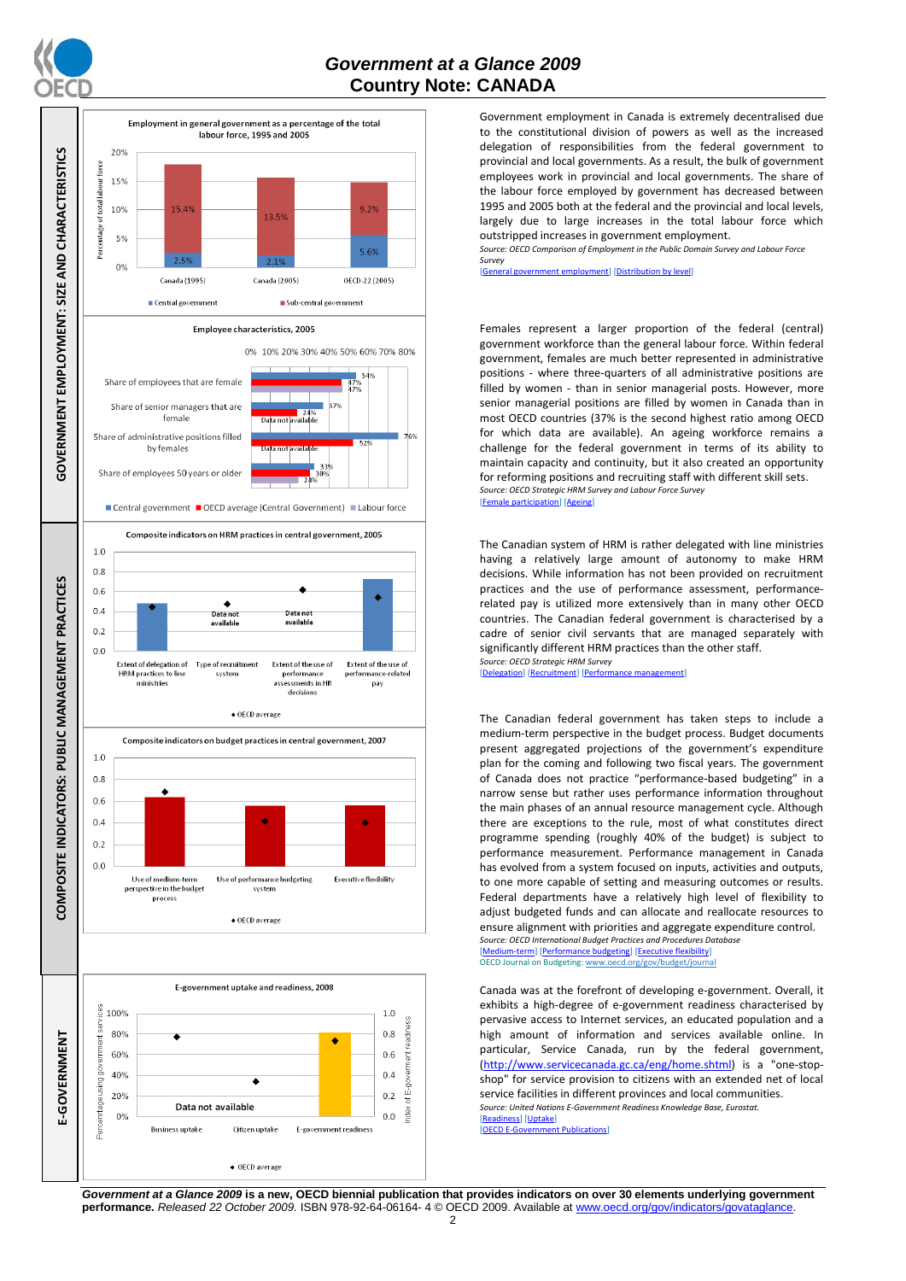

## *Government at a Glance 2009*  **Country Note: CANADA**



Government employment in Canada is extremely decentralised due to the constitutional division of powers as well as the increased delegation of responsibilities from the federal government to provincial and local governments. As a result, the bulk of government employees work in provincial and local governments. The share of the labour force employed by government has decreased between 1995 and 2005 both at the federal and the provincial and local levels, largely due to large increases in the total labour force which outstripped increases in government employment.

*Source: OECD Comparison of Employment in the Public Domain Survey and Labour Force Survey*

[\[General government employment\]](http://dx.doi.org/10.1787/723622503117) [\[Distribution by level\]](http://dx.doi.org/10.1787/723627140760)

Females represent a larger proportion of the federal (central) government workforce than the general labour force. Within federal government, females are much better represented in administrative positions - where three-quarters of all administrative positions are filled by women - than in senior managerial posts. However, more senior managerial positions are filled by women in Canada than in most OECD countries (37% is the second highest ratio among OECD for which data are available). An ageing workforce remains a challenge for the federal government in terms of its ability to maintain capacity and continuity, but it also created an opportunity for reforming positions and recruiting staff with different skill sets. *Source: OECD Strategic HRM Survey and Labour Force Survey* ticipation] [\[Ageing\]](http://dx.doi.org/10.1787/723656070327)

The Canadian system of HRM is rather delegated with line ministries having a relatively large amount of autonomy to make HRM decisions. While information has not been provided on recruitment practices and the use of performance assessment, performancerelated pay is utilized more extensively than in many other OECD countries. The Canadian federal government is characterised by a cadre of senior civil servants that are managed separately with significantly different HRM practices than the other staff. *Source: OECD Strategic HRM Survey* 

[\[Delegation\]](http://dx.doi.org/10.1787/723663744332) [\[Recruitment\]](http://dx.doi.org/10.1787/723668744361) [\[Performance management\]](http://dx.doi.org/10.1787/723750171710)

The Canadian federal government has taken steps to include a medium-term perspective in the budget process. Budget documents present aggregated projections of the government's expenditure plan for the coming and following two fiscal years. The government of Canada does not practice "performance-based budgeting" in a narrow sense but rather uses performance information throughout the main phases of an annual resource management cycle. Although there are exceptions to the rule, most of what constitutes direct programme spending (roughly 40% of the budget) is subject to performance measurement. Performance management in Canada has evolved from a system focused on inputs, activities and outputs, to one more capable of setting and measuring outcomes or results. Federal departments have a relatively high level of flexibility to adjust budgeted funds and can allocate and reallocate resources to ensure alignment with priorities and aggregate expenditure control. *Source: OECD International Budget Practices and Procedures Database*

[\[Medium-term\]](http://dx.doi.org/10.1787/723856770865) [\[Performance budgeting\]](http://dx.doi.org/10.1787/723863437686) [\[Executive flexibility\]](http://dx.doi.org/10.1787/723876713213) OECD Journal on Budgeting[: www.oecd.org/gov/budget/journal](http://www.oecd.org/gov/budget/journal)

Canada was at the forefront of developing e-government. Overall, it exhibits a high-degree of e-government readiness characterised by pervasive access to Internet services, an educated population and a high amount of information and services available online. In particular, Service Canada, run by the federal government, [\(http://www.servicecanada.gc.ca/eng/home.shtml\)](http://www.servicecanada.gc.ca/eng/home.shtml) is a "one-stopshop" for service provision to citizens with an extended net of local service facilities in different provinces and local communities. *Source: United Nations E-Government Readiness Knowledge Base, Eurostat.* [\[Readiness\]](http://dx.doi.org/10.1787/724248078408) [\[Uptake\]](http://dx.doi.org/10.1787/724264662272)<br>[OECD E-Governmen] **E-Manuele Publications** 

*Government at a Glance 2009* **is a new, OECD biennial publication that provides indicators on over 30 elements underlying government performance.** *Released 22 October 2009.* ISBN 978-92-64-06164- 4 © OECD 2009. Available at www.oecd.org/gov/indicators/govataglance.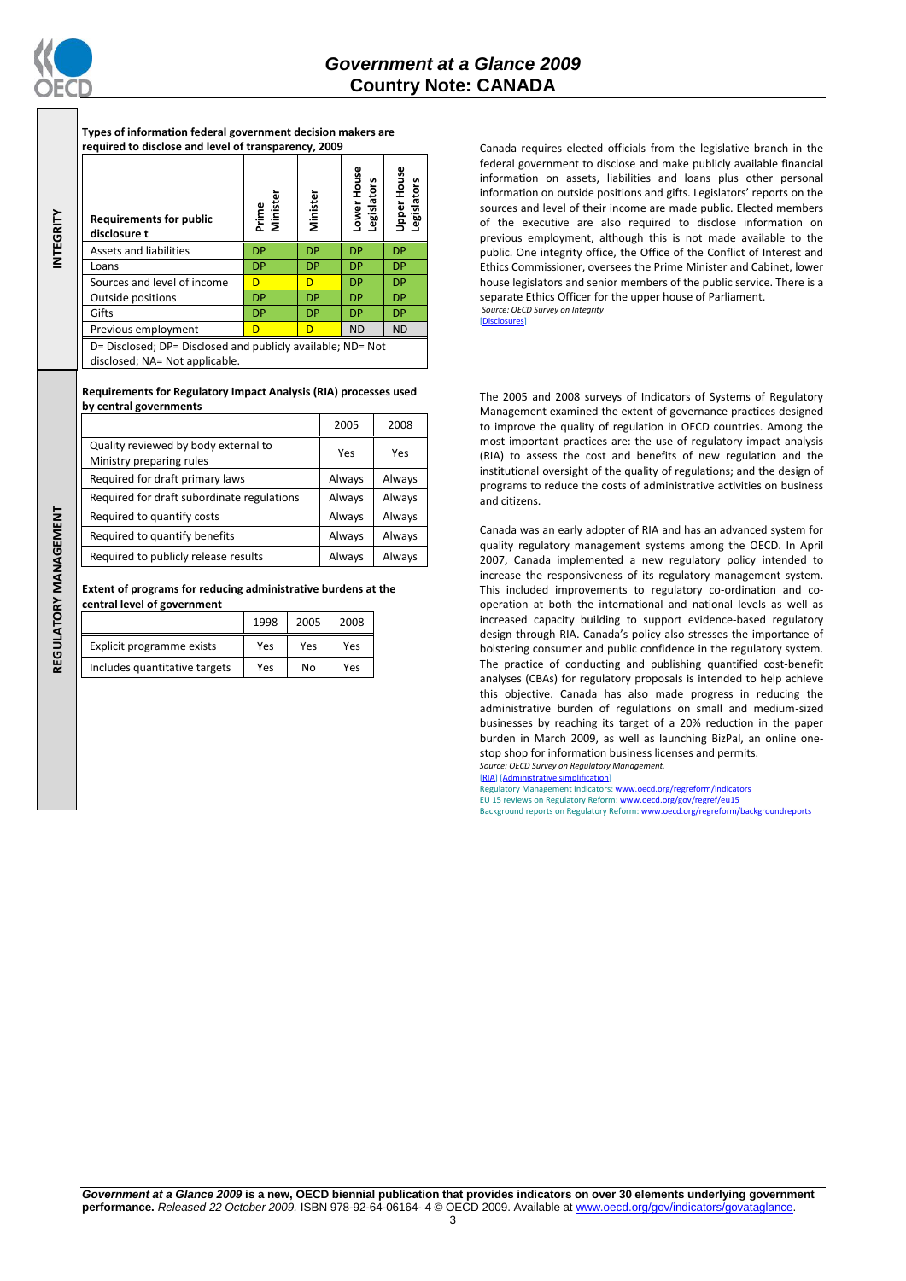

**INTEGRITY**

**REGULATORY MANAGEMENT**REGULATORY MANAGEMENT **Types of information federal government decision makers are required to disclose and level of transparency, 2009**

| <b>Requirements for public</b><br>disclosure t                                                | Prime<br>Minister | Minister  | Lower House<br>egislators | <b>Jpper House</b><br><b>Legislators</b> |
|-----------------------------------------------------------------------------------------------|-------------------|-----------|---------------------------|------------------------------------------|
| <b>Assets and liabilities</b>                                                                 | <b>DP</b>         | <b>DP</b> | <b>DP</b>                 | <b>DP</b>                                |
| Loans                                                                                         | <b>DP</b>         | <b>DP</b> | <b>DP</b>                 | <b>DP</b>                                |
| Sources and level of income                                                                   | D                 | D         | <b>DP</b>                 | <b>DP</b>                                |
| Outside positions                                                                             | <b>DP</b>         | <b>DP</b> | <b>DP</b>                 | <b>DP</b>                                |
| Gifts                                                                                         | <b>DP</b>         | <b>DP</b> | <b>DP</b>                 | <b>DP</b>                                |
| Previous employment                                                                           | D                 | D         | <b>ND</b>                 | <b>ND</b>                                |
| D= Disclosed; DP= Disclosed and publicly available; ND= Not<br>disclosed; NA= Not applicable. |                   |           |                           |                                          |

**Requirements for Regulatory Impact Analysis (RIA) processes used by central governments**

|                                                                  | 2005   | 2008   |
|------------------------------------------------------------------|--------|--------|
| Quality reviewed by body external to<br>Ministry preparing rules | Yes    | Yes    |
| Required for draft primary laws                                  | Always | Always |
| Required for draft subordinate regulations                       | Always | Always |
| Required to quantify costs                                       | Always | Always |
| Required to quantify benefits                                    | Always | Always |
| Required to publicly release results                             | Always | Always |

**Extent of programs for reducing administrative burdens at the central level of government**

|                               | 1998 | 2005 | 2008 |
|-------------------------------|------|------|------|
| Explicit programme exists     | Yes  | Yes  | Yes  |
| Includes quantitative targets | Yes  | No   | Yes  |

Canada requires elected officials from the legislative branch in the federal government to disclose and make publicly available financial information on assets, liabilities and loans plus other personal information on outside positions and gifts. Legislators' reports on the sources and level of their income are made public. Elected members of the executive are also required to disclose information on previous employment, although this is not made available to the public. One integrity office, the Office of the Conflict of Interest and Ethics Commissioner, oversees the Prime Minister and Cabinet, lower house legislators and senior members of the public service. There is a separate Ethics Officer for the upper house of Parliament. *Source: OECD Survey on Integrity*

[\[Disclosures\]](http://dx.doi.org/10.1787/724123642681)

The 2005 and 2008 surveys of Indicators of Systems of Regulatory Management examined the extent of governance practices designed to improve the quality of regulation in OECD countries. Among the most important practices are: the use of regulatory impact analysis (RIA) to assess the cost and benefits of new regulation and the institutional oversight of the quality of regulations; and the design of programs to reduce the costs of administrative activities on business and citizens.

Canada was an early adopter of RIA and has an advanced system for quality regulatory management systems among the OECD. In April 2007, Canada implemented a new regulatory policy intended to increase the responsiveness of its regulatory management system. This included improvements to regulatory co-ordination and cooperation at both the international and national levels as well as increased capacity building to support evidence-based regulatory design through RIA. Canada's policy also stresses the importance of bolstering consumer and public confidence in the regulatory system. The practice of conducting and publishing quantified cost-benefit analyses (CBAs) for regulatory proposals is intended to help achieve this objective. Canada has also made progress in reducing the administrative burden of regulations on small and medium-sized businesses by reaching its target of a 20% reduction in the paper burden in March 2009, as well as launching BizPal, an online onestop shop for information business licenses and permits. *Source: OECD Survey on Regulatory Management.*

[\[RIA\]](http://dx.doi.org/10.1787/724045144354) [\[Administrative simplification\]](http://dx.doi.org/10.1787/724058851054)

Regulatory Management Indicators[: www.oecd.org/regreform/indicators](http://www.oecd.org/regreform/indicators) EU 15 reviews on Regulatory Reform[: www.oecd.org/gov/regref/eu15](http://www.oecd.org/gov/regref/eu15) Background reports on Regulatory Reform: www.oecd.org/re